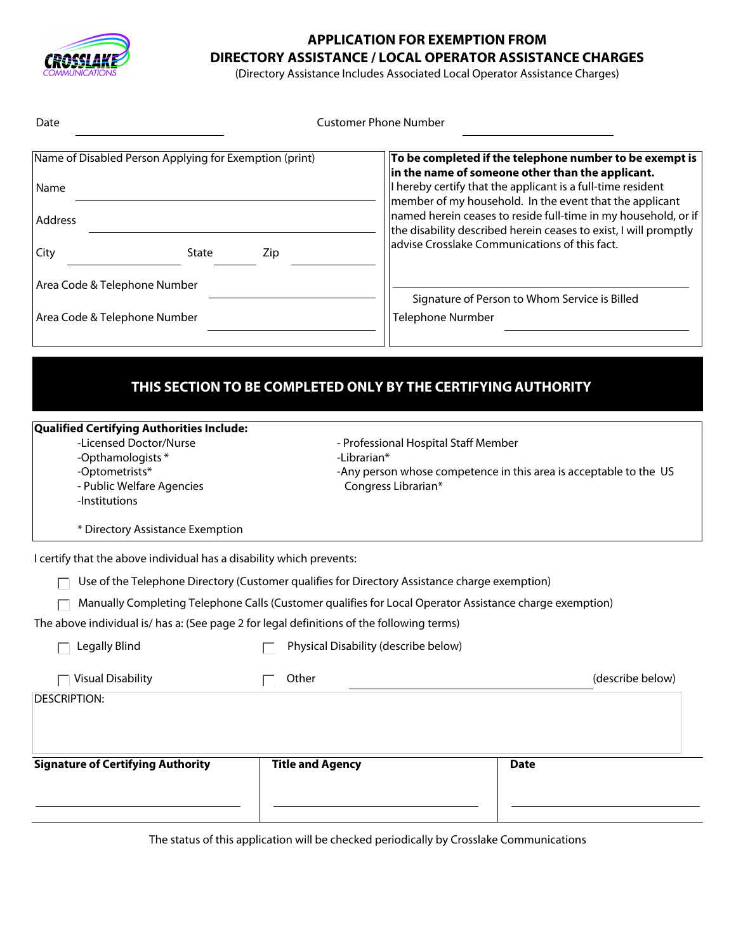

## **APPLICATION FOR EXEMPTION FROM DIRECTORY ASSISTANCE / LOCAL OPERATOR ASSISTANCE CHARGES**

(Directory Assistance Includes Associated Local Operator Assistance Charges)

| Date                                                                                                                                                                                               |                         | <b>Customer Phone Number</b>                                                                                                 |                                                                                                                                                                                                                                                                                                                                                                                                                                                                               |
|----------------------------------------------------------------------------------------------------------------------------------------------------------------------------------------------------|-------------------------|------------------------------------------------------------------------------------------------------------------------------|-------------------------------------------------------------------------------------------------------------------------------------------------------------------------------------------------------------------------------------------------------------------------------------------------------------------------------------------------------------------------------------------------------------------------------------------------------------------------------|
| Name of Disabled Person Applying for Exemption (print)<br>Name<br>Address<br>State<br>City<br>Area Code & Telephone Number<br>Area Code & Telephone Number                                         | Zip                     | <b>Telephone Nurmber</b>                                                                                                     | To be completed if the telephone number to be exempt is<br>in the name of someone other than the applicant.<br>I hereby certify that the applicant is a full-time resident<br>member of my household. In the event that the applicant<br>named herein ceases to reside full-time in my household, or if<br>the disability described herein ceases to exist, I will promptly<br>advise Crosslake Communications of this fact.<br>Signature of Person to Whom Service is Billed |
| <b>Qualified Certifying Authorities Include:</b><br>-Licensed Doctor/Nurse<br>-Opthamologists*<br>-Optometrists*<br>- Public Welfare Agencies<br>-Institutions<br>* Directory Assistance Exemption | -Librarian*             | THIS SECTION TO BE COMPLETED ONLY BY THE CERTIFYING AUTHORITY<br>- Professional Hospital Staff Member<br>Congress Librarian* | -Any person whose competence in this area is acceptable to the US                                                                                                                                                                                                                                                                                                                                                                                                             |
| I certify that the above individual has a disability which prevents:                                                                                                                               |                         |                                                                                                                              |                                                                                                                                                                                                                                                                                                                                                                                                                                                                               |
| Use of the Telephone Directory (Customer qualifies for Directory Assistance charge exemption)                                                                                                      |                         |                                                                                                                              |                                                                                                                                                                                                                                                                                                                                                                                                                                                                               |
| Manually Completing Telephone Calls (Customer qualifies for Local Operator Assistance charge exemption)                                                                                            |                         |                                                                                                                              |                                                                                                                                                                                                                                                                                                                                                                                                                                                                               |
| The above individual is/ has a: (See page 2 for legal definitions of the following terms)                                                                                                          |                         |                                                                                                                              |                                                                                                                                                                                                                                                                                                                                                                                                                                                                               |
| Legally Blind                                                                                                                                                                                      |                         | Physical Disability (describe below)                                                                                         |                                                                                                                                                                                                                                                                                                                                                                                                                                                                               |
| <b>Visual Disability</b>                                                                                                                                                                           | Other                   |                                                                                                                              | (describe below)                                                                                                                                                                                                                                                                                                                                                                                                                                                              |
| <b>DESCRIPTION:</b>                                                                                                                                                                                |                         |                                                                                                                              |                                                                                                                                                                                                                                                                                                                                                                                                                                                                               |
| <b>Signature of Certifying Authority</b>                                                                                                                                                           | <b>Title and Agency</b> |                                                                                                                              | <b>Date</b>                                                                                                                                                                                                                                                                                                                                                                                                                                                                   |
|                                                                                                                                                                                                    |                         |                                                                                                                              |                                                                                                                                                                                                                                                                                                                                                                                                                                                                               |

The status of this application will be checked periodically by Crosslake Communications